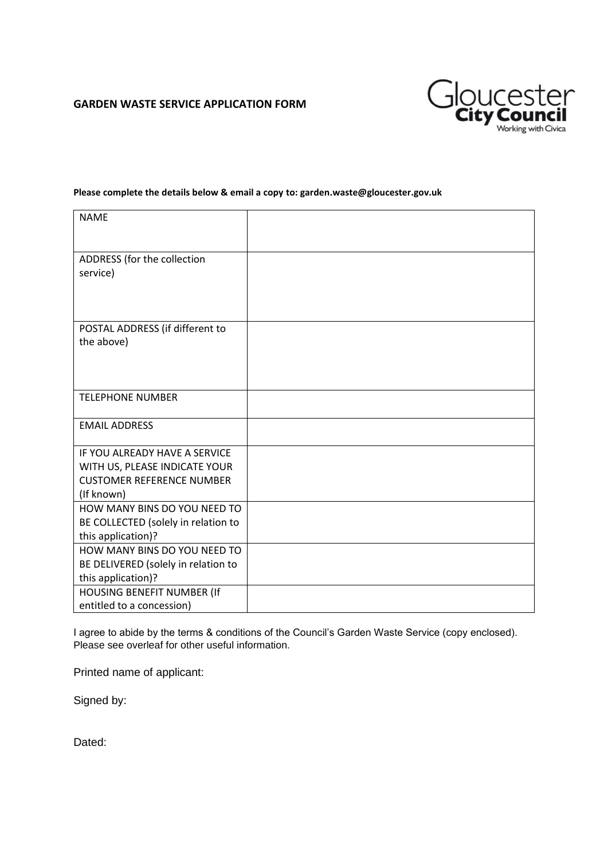# **GARDEN WASTE SERVICE APPLICATION FORM**



#### **Please complete the details below & email a copy to: garden.waste@gloucester.gov.uk**

| <b>NAME</b>                                             |  |
|---------------------------------------------------------|--|
|                                                         |  |
| ADDRESS (for the collection                             |  |
| service)                                                |  |
|                                                         |  |
|                                                         |  |
| POSTAL ADDRESS (if different to                         |  |
| the above)                                              |  |
|                                                         |  |
|                                                         |  |
|                                                         |  |
| <b>TELEPHONE NUMBER</b>                                 |  |
| <b>EMAIL ADDRESS</b>                                    |  |
|                                                         |  |
| IF YOU ALREADY HAVE A SERVICE                           |  |
| WITH US, PLEASE INDICATE YOUR                           |  |
| <b>CUSTOMER REFERENCE NUMBER</b>                        |  |
| (If known)                                              |  |
| HOW MANY BINS DO YOU NEED TO                            |  |
| BE COLLECTED (solely in relation to                     |  |
| this application)?                                      |  |
| HOW MANY BINS DO YOU NEED TO                            |  |
| BE DELIVERED (solely in relation to                     |  |
| this application)?                                      |  |
| HOUSING BENEFIT NUMBER (If<br>entitled to a concession) |  |
|                                                         |  |

I agree to abide by the terms & conditions of the Council's Garden Waste Service (copy enclosed). Please see overleaf for other useful information.

Printed name of applicant:

Signed by:

Dated: